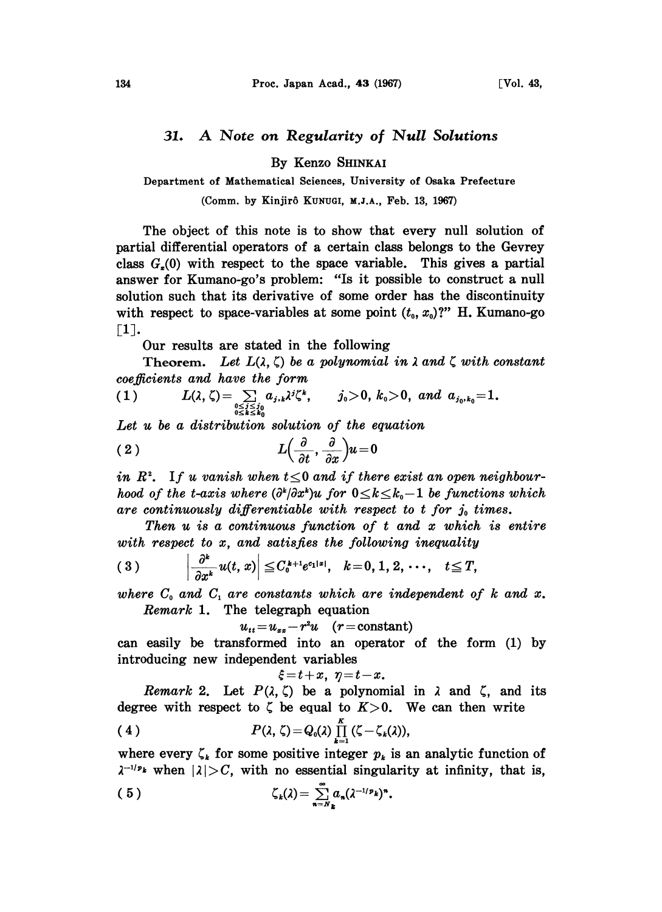## 31. A Note on Regularity of Null Solutions

By Kenzo SHINKAI

Department of Mathematical Sciences, University of Osaka Prefecture

(Comm. by Kinjirô KUNUGI, M.J.A., Feb. 13, 1967)

The object of this note is to show that every null solution of partial differential operators of a certain class belongs to the Gevrey class  $G<sub>z</sub>(0)$  with respect to the space variable. This gives a partial answer for Kumano-go's problem: "Is it possible to construct a null solution such that its derivative of some order has the discontinuity with respect to space-variables at some point  $(t_0, x_0)$ ?" H. Kumano-go  $\lceil 1 \rceil$ .

Our results are stated in the following

Theorem. Let  $L(\lambda, \zeta)$  be a polynomial in  $\lambda$  and  $\zeta$  with constant coefficients and have the form

coejlicients and have the form  
\n(1) 
$$
L(\lambda, \zeta) = \sum_{\substack{0 \le i \le j_0 \\ 0 \le i \le k_0}} a_{j,k} \lambda^i \zeta^k, \qquad j_0 > 0, k_0 > 0, \text{ and } a_{j_0, k_0} = 1.
$$

Let  $u$  be a distribution solution of the equation

$$
(2) \t\t\t L\Big(\frac{\partial}{\partial t},\frac{\partial}{\partial x}\Big)u=0
$$

in  $R^2$ . If u vanish when  $t \leq 0$  and if there exist an open neighbourhood of the t-axis where  $(\partial^k/\partial x^k)u$  for  $0\leq k\leq k_0-1$  be functions which are continuously differentiable with respect to  $t$  for  $j_0$  times.

Then  $u$  is a continuous function of  $t$  and  $x$  which is entire Then  $u$  is a continuous function of  $t$  and  $x$  which with respect to  $x$ , and satisfies the following inequality

with respect to x, and satisfies the following inequality  
\n(3) 
$$
\left|\frac{\partial^k}{\partial x^k}u(t,x)\right| \leq C_0^{k+1}e^{c_1|x|}, \quad k=0,1,2,\cdots, t \leq T,
$$

where  $C_0$  and  $C_1$  are constants which are independent of k and x. Remark 1. The telegraph equation

$$
u_{tt} = u_{xx} - r^2 u \quad (r = constant)
$$

can easily be transformed into an operator of the form  $(1)$  by introducing new independent variables

$$
\dot{z}=t+x, \ \eta=t-x.
$$

Remark 2. Let  $P(\lambda, \zeta)$  be a polynomial in  $\lambda$  and  $\zeta$ , and its degree with respect to  $\zeta$  be equal to  $K>0$ . We can then write

(4) 
$$
P(\lambda, \zeta) = Q_0(\lambda) \prod_{k=1}^K (\zeta - \zeta_k(\lambda)),
$$

where every  $\zeta_k$  for some positive integer  $p_k$  is an analytic function of  $\lambda^{-1/p_k}$  when  $|\lambda| > C$ , with no essential singularity at infinity, that is,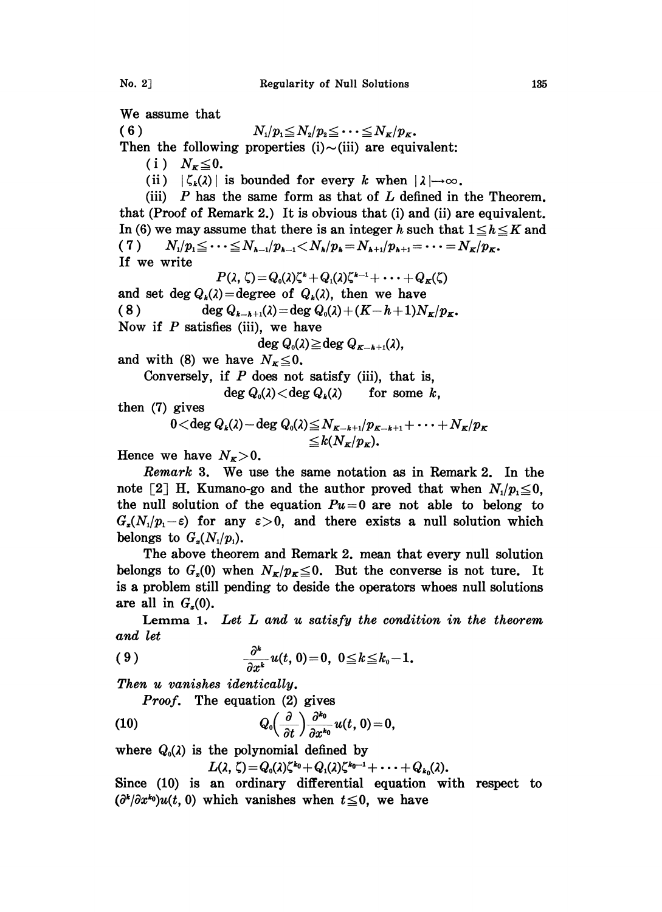We assume that

( 6 )  $N_1/p_1 \le N_2/p_2 \le \cdots \le N_K/p_K$ . Then the following properties  $(i) \sim (iii)$  are equivalent: (i)  $N_{\kappa} \leq 0$ . (ii)  $|\zeta_k(\lambda)|$  is bounded for every k when  $|\lambda| \rightarrow \infty$ . (iii)  $P$  has the same form as that of  $L$  defined in the Theorem. that (Proof of Remark 2.) It is obvious that (i) and (ii) are equivalent. In (6) we may assume that there is an integer h such that  $1 \leq h \leq K$  and (7)  $N_1/p_1 \leq \cdots \leq N_{k-1}/p_{k-1} < N_k/p_k = N_{k+1}/p_{k+1} = \cdots = N_K/p_K$ . If we write  $P(\lambda, \zeta) \!=\! Q_0(\lambda)\zeta^k + Q_1(\lambda)\zeta^{k-1} + \cdots + Q_{\kappa}(\zeta)$ and set deg  $Q_k(\lambda)$  = degree of  $Q_k(\lambda)$ , then we have ( 8 ) deg  $Q_{k-k+1}(\lambda) = \deg Q_0(\lambda) + (K - h + 1)N_K/p_K$ . Now if  $P$  satisfies (iii), we have  $\deg Q_0(\lambda) \geq \deg Q_{K-k+1}(\lambda)$ , and with (8) we have  $N_K \leq 0$ . Conversely, if  $P$  does not satisfy (iii), that is,  $\deg Q_0(\lambda) < \deg Q_k(\lambda)$  for some k, then (7) gives  $0 <$ deg  $Q_k(\lambda)$  - deg  $Q_0(\lambda) \le N_{K-k+1}/p_{K-k+1} + \cdots + N_K/p_K$ 

$$
\langle \deg Q_k(\lambda) - \deg Q_0(\lambda) \leq N_{K-k+1}/p_{K-k+1} + \cdots + N_K \rangle
$$
  

$$
\leq k(N_K/p_K).
$$

Hence we have  $N_{K}>0$ .

Remark 3. We use the same notation as in Remark 2. In the note [2] H. Kumano-go and the author proved that when  $N_1/p_1 \leq 0$ , the null solution of the equation  $Pu=0$  are not able to belong to  $G_{\varepsilon}(N_1/p_1-\varepsilon)$  for any  $\varepsilon>0$ , and there exists a null solution which belongs to  $G_{\alpha}(N_1/p_1)$ .

The above theorem and Remark 2. mean that every null solution belongs to  $G_x(0)$  when  $N_x/p_x \leq 0$ . But the converse is not ture. It is a problem still pending to deside the operators whoes null solutions are all in  $G<sub>x</sub>(0)$ .

Lemma 1. Let  $L$  and  $u$  satisfy the condition in the theorem and let

$$
(9) \qquad \qquad \frac{\partial^k}{\partial x^k}u(t,0)=0, \ 0\leq k\leq k_0-1.
$$

Then u vanishes identically.

(10) 
$$
Q_0\left(\frac{\partial}{\partial t}\right) \frac{\partial^{k_0}}{\partial x^{k_0}} u(t, 0) = 0,
$$

where  $Q_0(\lambda)$  is the polynomial defined by

*Proof.* The equation  $(2)$  gives

$$
L(\lambda,\zeta)=Q_0(\lambda)\zeta^{k_0}+Q_1(\lambda)\zeta^{k_0-1}+\cdots+Q_{k_0}(\lambda).
$$

Since (10) is an ordinary differential equation with respect to  $(\partial^k/\partial x^{k_0})u(t, 0)$  which vanishes when  $t\leq 0$ , we have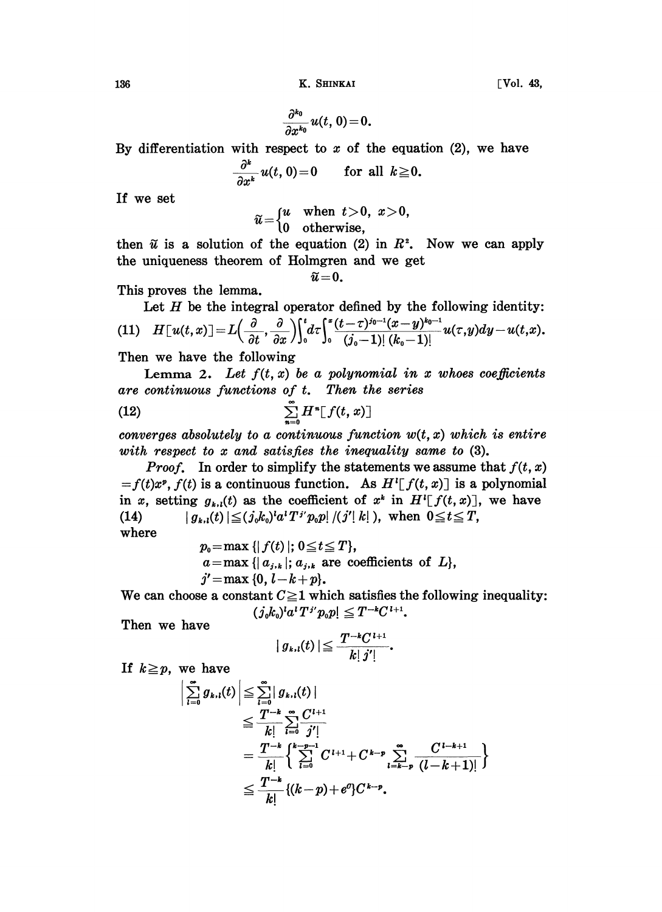136 K. SHINKAI [Vol. 43,

 $\frac{\partial^{k_0}}{\partial x^{k_0}}u(t, 0) = 0.$ 

By differentiation with respect to  $x$  of the equation (2), we have

$$
\frac{\partial^k}{\partial x^k}u(t,0)=0 \qquad \text{for all } k\geq 0.
$$

If we set

$$
\widetilde{u} = \begin{cases} u & \text{when } t > 0, \ x > 0, \\ 0 & \text{otherwise,} \end{cases}
$$

then  $\tilde{u}$  is a solution of the equation (2) in  $R^2$ . Now we can apply the uniqueness theorem of Holmgren and we get

 $\tilde{u}=0.$ 

This proves the lemma.

Let  $H$  be the integral operator defined by the following identity: (11)  $H[u(t,x)] = L\left(\frac{\partial}{\partial t}, \frac{\partial}{\partial x}\right)\int_0^t d\tau \int_0^x \frac{(t-\tau)^{j_0-1}(x-y)^{k_0-1}}{(j_0-1)!(k_0-1)!}u(\tau,y)dy-u(t,x).$ 

Then we have the following

Lemma 2. Let  $f(t, x)$  be a polynomial in x whoes coefficients are continuous functions of  $t$ . Then the series

(12) 
$$
\sum_{n=0}^{\infty} H^n[f(t,x)]
$$

converges absolutely to a continuous function  $w(t, x)$  which is entire with respect to x and satisfies the inequality same to  $(3)$ .

*Proof.* In order to simplify the statements we assume that  $f(t, x)$  $=f(t)x^p$ ,  $f(t)$  is a continuous function. As  $H^1[f(t, x)]$  is a polynomial in x, setting  $g_{k,l}(t)$  as the coefficient of  $x^k$  in  $H^l[f(t,x)]$ , we have (14)  $|g_{k,l}(t)| \leq (j_0 k_0)^l a^l T^{j'} p_0 p! / (j' | k|)$ , when  $0 \leq t \leq T$ , where

> $p_0 = \max \{|f(t)|; 0 \le t \le T\},\$  $a=\max\{|a_{j,k}|; a_{j,k}\}$  are coefficients of  $L\},$  $j' = \max \{0, l-k+p\}.$

We can choose a constant  $C \geq 1$  which satisfies the following inequality:  $(j_0k_0)^{l}a^{l}T^{j'}p_0p] \leq T^{-k}C^{l+1}.$ 

Then we have

$$
| g_{k,l}(t) | \leqq \frac{T^{-k}C^{l+1}}{k! \, j' |}.
$$

If  $k \geq p$ , we have

$$
\left| \sum_{l=0}^{\infty} g_{k,l}(t) \right| \leq \sum_{l=0}^{\infty} |g_{k,l}(t)|
$$
  
\n
$$
\leq \frac{T^{-k}}{k!} \sum_{l=0}^{\infty} \frac{C^{l+1}}{j'!}
$$
  
\n
$$
= \frac{T^{-k}}{k!} \left\{ \sum_{l=0}^{k-p-1} C^{l+1} + C^{k-p} \sum_{l=k-p}^{\infty} \frac{C^{l-k+1}}{(l-k+1)!} \right\}
$$
  
\n
$$
\leq \frac{T^{-k}}{k!} \{(k-p) + e^{\sigma}\} C^{k-p}.
$$